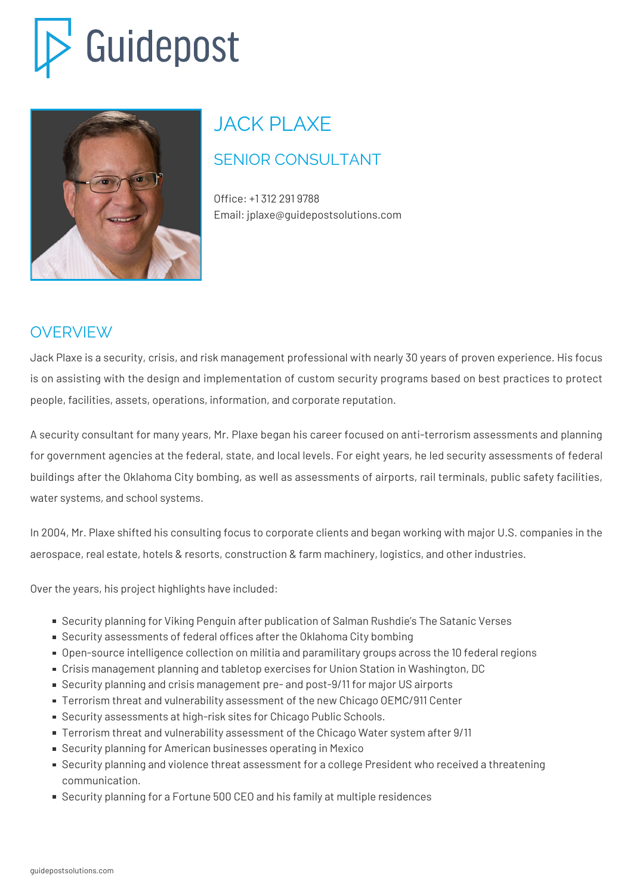# Guidepost



## JACK PLAXE

### SENIOR CONSULTANT

Office: +1 312 291 9788 Email: jplaxe@guidepostsolutions.com

#### OVERVIEW

Jack Plaxe is a security, crisis, and risk management professional with nearly 30 years of proven experience. His focus is on assisting with the design and implementation of custom security programs based on best practices to protect people, facilities, assets, operations, information, and corporate reputation.

A security consultant for many years, Mr. Plaxe began his career focused on anti-terrorism assessments and planning for government agencies at the federal, state, and local levels. For eight years, he led security assessments of federal buildings after the Oklahoma City bombing, as well as assessments of airports, rail terminals, public safety facilities, water systems, and school systems.

In 2004, Mr. Plaxe shifted his consulting focus to corporate clients and began working with major U.S. companies in the aerospace, real estate, hotels & resorts, construction & farm machinery, logistics, and other industries.

Over the years, his project highlights have included:

- Security planning for Viking Penguin after publication of Salman Rushdie's The Satanic Verses
- Security assessments of federal offices after the Oklahoma City bombing
- Open-source intelligence collection on militia and paramilitary groups across the 10 federal regions
- Crisis management planning and tabletop exercises for Union Station in Washington, DC
- Security planning and crisis management pre- and post-9/11 for major US airports
- Terrorism threat and vulnerability assessment of the new Chicago OEMC/911 Center
- Security assessments at high-risk sites for Chicago Public Schools.
- Terrorism threat and vulnerability assessment of the Chicago Water system after 9/11
- Security planning for American businesses operating in Mexico
- Security planning and violence threat assessment for a college President who received a threatening communication.
- Security planning for a Fortune 500 CEO and his family at multiple residences